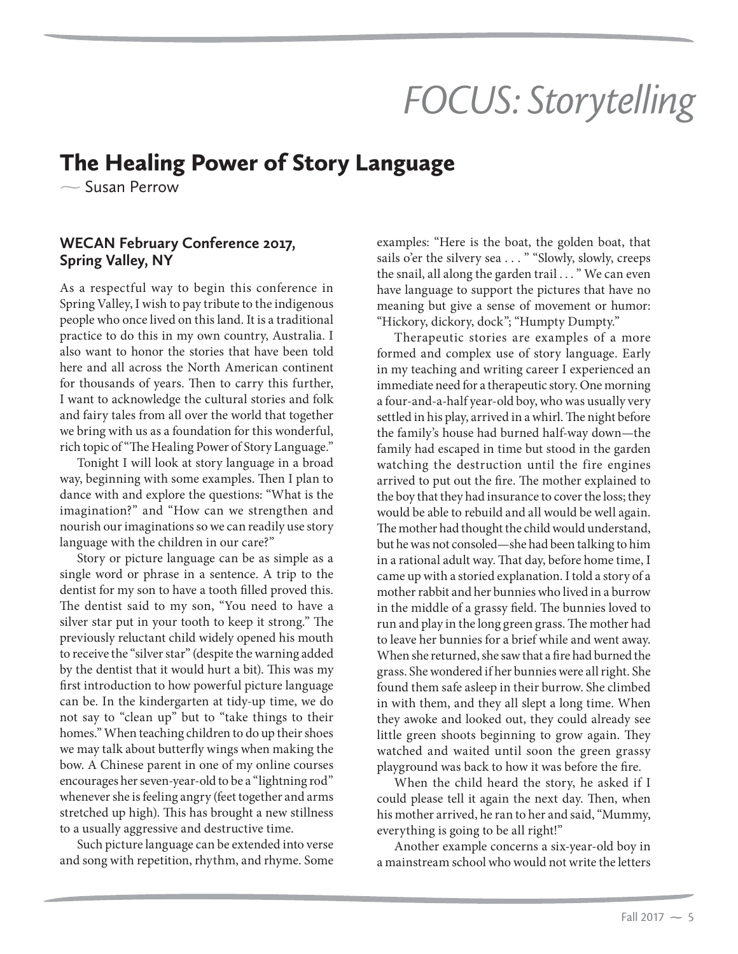# *FOCUS: Storytelling*<br>The Healing Power of Story Language

## $\sim$  Susan Perrow

### **Spring Valley, NY Spring Valley,**

As a respectful way to begin this conference in Spring Valley, I wish to pay tribute to the indigenous people who once lived on this land. It is a traditional practice to do this in my own country, Australia. I also want to honor the stories that have been told here and all across the North American continent for thousands of years. Then to carry this further, I want to acknowledge the cultural stories and folk and fairy tales from all over the world that together we bring with us as a foundation for this wonderful, rich topic of "The Healing Power of Story Language."

Tonight I will look at story language in a broad way, beginning with some examples. Then I plan to dance with and explore the questions: "What is the imagination?" and "How can we strengthen and nourish our imaginations so we can readily use story language with the children in our care?"

Story or picture language can be as simple as a single word or phrase in a sentence. A trip to the dentist for my son to have a tooth filled proved this. The dentist said to my son, "You need to have a silver star put in your tooth to keep it strong." The previously reluctant child widely opened his mouth to receive the "silver star" (despite the warning added by the dentist that it would hurt a bit). This was my first introduction to how powerful picture language can be. In the kindergarten at tidy-up time, we do not say to "clean up" but to "take things to their homes." When teaching children to do up their shoes we may talk about butterfly wings when making the bow. A Chinese parent in one of my online courses encourages her seven-year-old to be a "lightning rod" whenever she is feeling angry (feet together and arms stretched up high). This has brought a new stillness to a usually aggressive and destructive time.

Such picture language can be extended into verse and song with repetition, rhythm, and rhyme. Some

examples: "Here is the boat, the golden boat, that sails o'er the silvery sea . . . " "Slowly, slowly, creeps the snail, all along the garden trail . . . " We can even have language to support the pictures that have no meaning but give a sense of movement or humor: "Hickory, dickory, dock"; "Humpty Dumpty."

Therapeutic stories are examples of a more formed and complex use of story language. Early in my teaching and writing career I experienced an immediate need for a therapeutic story. One morning a four-and-a-half year-old boy, who was usually very settled in his play, arrived in a whirl. The night before the family's house had burned half-way down—the family had escaped in time but stood in the garden watching the destruction until the fire engines arrived to put out the fire. The mother explained to the boy that they had insurance to cover the loss; they would be able to rebuild and all would be well again. The mother had thought the child would understand, but he was not consoled—she had been talking to him in a rational adult way. That day, before home time, I came up with a storied explanation. I told a story of a mother rabbit and her bunnies who lived in a burrow in the middle of a grassy field. The bunnies loved to run and play in the long green grass. The mother had to leave her bunnies for a brief while and went away. When she returned, she saw that a fire had burned the grass. She wondered if her bunnies were all right. She found them safe asleep in their burrow. She climbed in with them, and they all slept a long time. When they awoke and looked out, they could already see little green shoots beginning to grow again. They watched and waited until soon the green grassy playground was back to how it was before the fire.

When the child heard the story, he asked if I could please tell it again the next day. Then, when his mother arrived, he ran to her and said, "Mummy, everything is going to be all right!"

Another example concerns a six-year-old boy in a mainstream school who would not write the letters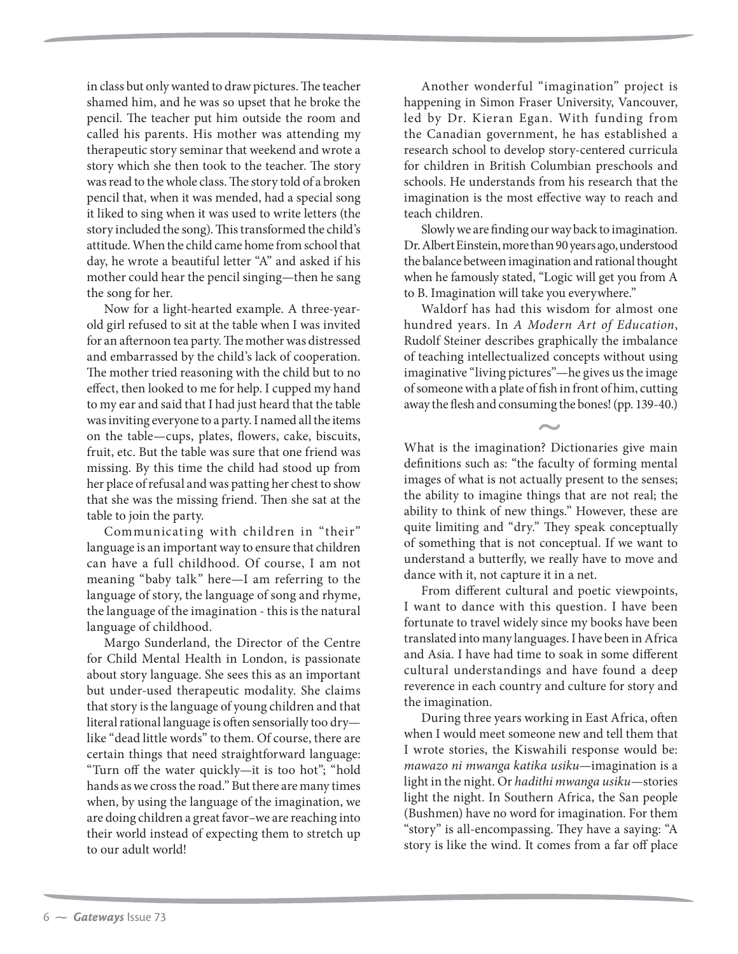in class but only wanted to draw pictures. The teacher shamed him, and he was so upset that he broke the pencil. The teacher put him outside the room and called his parents. His mother was attending my therapeutic story seminar that weekend and wrote a story which she then took to the teacher. The story was read to the whole class. The story told of a broken pencil that, when it was mended, had a special song it liked to sing when it was used to write letters (the story included the song). This transformed the child's attitude. When the child came home from school that day, he wrote a beautiful letter "A" and asked if his mother could hear the pencil singing—then he sang the song for her.

Now for a light-hearted example. A three-yearold girl refused to sit at the table when I was invited for an afternoon tea party. The mother was distressed and embarrassed by the child's lack of cooperation. The mother tried reasoning with the child but to no effect, then looked to me for help. I cupped my hand to my ear and said that I had just heard that the table was inviting everyone to a party. I named all the items on the table—cups, plates, flowers, cake, biscuits, fruit, etc. But the table was sure that one friend was missing. By this time the child had stood up from her place of refusal and was patting her chest to show that she was the missing friend. Then she sat at the table to join the party.

Communicating with children in "their" language is an important way to ensure that children can have a full childhood. Of course, I am not meaning "baby talk" here—I am referring to the language of story, the language of song and rhyme, the language of the imagination - this is the natural language of childhood.

Margo Sunderland, the Director of the Centre for Child Mental Health in London, is passionate about story language. She sees this as an important but under-used therapeutic modality. She claims that story is the language of young children and that literal rational language is often sensorially too dry like "dead little words" to them. Of course, there are certain things that need straightforward language: "Turn off the water quickly—it is too hot"; "hold hands as we cross the road." But there are many times when, by using the language of the imagination, we are doing children a great favor–we are reaching into their world instead of expecting them to stretch up to our adult world!

Another wonderful "imagination" project is happening in Simon Fraser University, Vancouver, led by Dr. Kieran Egan. With funding from the Canadian government, he has established a research school to develop story-centered curricula for children in British Columbian preschools and schools. He understands from his research that the imagination is the most effective way to reach and teach children.

Slowly we are finding our way back to imagination. Dr. Albert Einstein, more than 90 years ago, understood the balance between imagination and rational thought when he famously stated, "Logic will get you from A to B. Imagination will take you everywhere."

Waldorf has had this wisdom for almost one hundred years. In A Modern Art of Education, Rudolf Steiner describes graphically the imbalance of teaching intellectualized concepts without using imaginative "living pictures"—he gives us the image of someone with a plate of fish in front of him, cutting away the flesh and consuming the bones! (pp. 139-40.)

What is the imagination? Dictionaries give main definitions such as: "the faculty of forming mental images of what is not actually present to the senses; the ability to imagine things that are not real; the ability to think of new things." However, these are quite limiting and "dry." They speak conceptually of something that is not conceptual. If we want to understand a butterfly, we really have to move and dance with it, not capture it in a net.

From different cultural and poetic viewpoints, I want to dance with this question. I have been fortunate to travel widely since my books have been translated into many languages. I have been in Africa and Asia. I have had time to soak in some different cultural understandings and have found a deep reverence in each country and culture for story and the imagination.

During three years working in East Africa, often when I would meet someone new and tell them that I wrote stories, the Kiswahili response would be: mawazo ni mwanga katika usiku—imagination is a light in the night. Or hadithi mwanga usiku—stories light the night. In Southern Africa, the San people (Bushmen) have no word for imagination. For them "story" is all-encompassing. They have a saying: "A story is like the wind. It comes from a far off place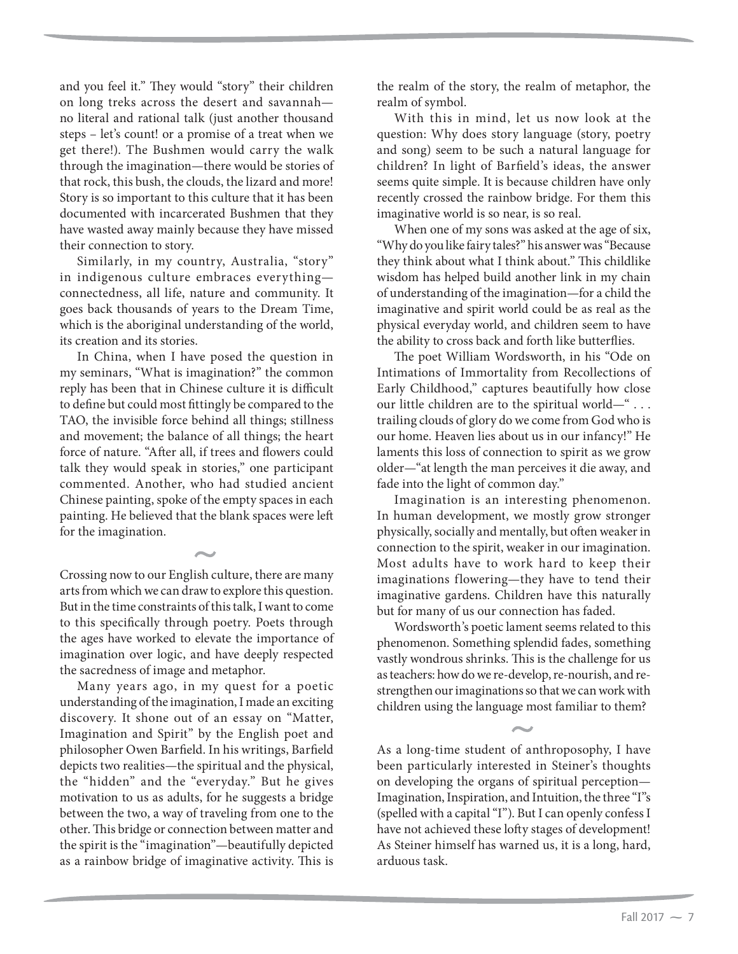and you feel it." They would "story" their children on long treks across the desert and savannah no literal and rational talk (just another thousand steps – let's count! or a promise of a treat when we get there!). The Bushmen would carry the walk through the imagination—there would be stories of that rock, this bush, the clouds, the lizard and more! Story is so important to this culture that it has been documented with incarcerated Bushmen that they have wasted away mainly because they have missed their connection to story.

Similarly, in my country, Australia, "story" in indigenous culture embraces everything connectedness, all life, nature and community. It goes back thousands of years to the Dream Time, which is the aboriginal understanding of the world, its creation and its stories.

In China, when I have posed the question in my seminars, "What is imagination?" the common reply has been that in Chinese culture it is difficult to define but could most fittingly be compared to the TAO, the invisible force behind all things; stillness and movement; the balance of all things; the heart force of nature. "After all, if trees and flowers could talk they would speak in stories," one participant commented. Another, who had studied ancient Chinese painting, spoke of the empty spaces in each painting. He believed that the blank spaces were left for the imagination.

Crossing now to our English culture, there are many arts from which we can draw to explore this question. But in the time constraints of this talk, I want to come to this specifically through poetry. Poets through the ages have worked to elevate the importance of imagination over logic, and have deeply respected the sacredness of image and metaphor.

Many years ago, in my quest for a poetic understanding of the imagination, I made an exciting discovery. It shone out of an essay on "Matter, Imagination and Spirit" by the English poet and philosopher Owen Barfield. In his writings, Barfield depicts two realities—the spiritual and the physical, the "hidden" and the "everyday." But he gives motivation to us as adults, for he suggests a bridge between the two, a way of traveling from one to the other. This bridge or connection between matter and the spirit is the "imagination"—beautifully depicted as a rainbow bridge of imaginative activity. This is

the realm of the story, the realm of metaphor, the realm of symbol.

With this in mind, let us now look at the question: Why does story language (story, poetry and song) seem to be such a natural language for children? In light of Barfield's ideas, the answer seems quite simple. It is because children have only recently crossed the rainbow bridge. For them this imaginative world is so near, is so real.

When one of my sons was asked at the age of six, "Why do you like fairy tales?" his answer was "Because they think about what I think about." This childlike wisdom has helped build another link in my chain of understanding of the imagination—for a child the imaginative and spirit world could be as real as the physical everyday world, and children seem to have the ability to cross back and forth like butterflies.

The poet William Wordsworth, in his "Ode on Intimations of Immortality from Recollections of Early Childhood," captures beautifully how close our little children are to the spiritual world—" . . . trailing clouds of glory do we come from God who is our home. Heaven lies about us in our infancy!" He laments this loss of connection to spirit as we grow older—"at length the man perceives it die away, and fade into the light of common day."

Imagination is an interesting phenomenon. In human development, we mostly grow stronger physically, socially and mentally, but often weaker in connection to the spirit, weaker in our imagination. Most adults have to work hard to keep their imaginations flowering—they have to tend their imaginative gardens. Children have this naturally but for many of us our connection has faded.

Wordsworth's poetic lament seems related to this phenomenon. Something splendid fades, something vastly wondrous shrinks. This is the challenge for us as teachers: how do we re-develop, re-nourish, and restrengthen our imaginations so that we can work with children using the language most familiar to them?

As a long-time student of anthroposophy, I have been particularly interested in Steiner's thoughts on developing the organs of spiritual perception— Imagination, Inspiration, and Intuition, the three "I"s (spelled with a capital "I"). But I can openly confess I have not achieved these lofty stages of development! As Steiner himself has warned us, it is a long, hard, arduous task.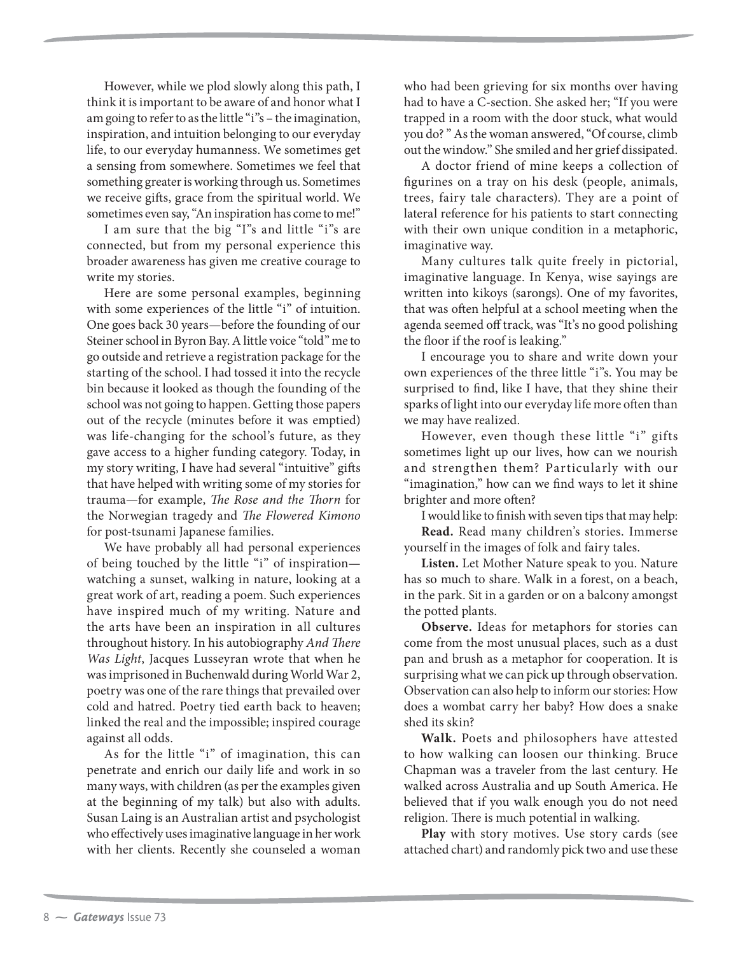However, while we plod slowly along this path, I think it is important to be aware of and honor what I am going to refer to as the little "i"s – the imagination, inspiration, and intuition belonging to our everyday life, to our everyday humanness. We sometimes get a sensing from somewhere. Sometimes we feel that something greater is working through us. Sometimes we receive gifts, grace from the spiritual world. We sometimes even say, "An inspiration has come to me!"

I am sure that the big "I"s and little "i"s are connected, but from my personal experience this broader awareness has given me creative courage to write my stories.

Here are some personal examples, beginning with some experiences of the little "i" of intuition. One goes back 30 years—before the founding of our Steiner school in Byron Bay. A little voice "told" me to go outside and retrieve a registration package for the starting of the school. I had tossed it into the recycle bin because it looked as though the founding of the school was not going to happen. Getting those papers out of the recycle (minutes before it was emptied) was life-changing for the school's future, as they gave access to a higher funding category. Today, in my story writing, I have had several "intuitive" gifts that have helped with writing some of my stories for trauma—for example, The Rose and the Thorn for the Norwegian tragedy and The Flowered Kimono for post-tsunami Japanese families.

We have probably all had personal experiences of being touched by the little "i" of inspiration watching a sunset, walking in nature, looking at a great work of art, reading a poem. Such experiences have inspired much of my writing. Nature and the arts have been an inspiration in all cultures throughout history. In his autobiography And There Was Light, Jacques Lusseyran wrote that when he was imprisoned in Buchenwald during World War 2, poetry was one of the rare things that prevailed over cold and hatred. Poetry tied earth back to heaven; linked the real and the impossible; inspired courage against all odds.

As for the little "i" of imagination, this can penetrate and enrich our daily life and work in so many ways, with children (as per the examples given at the beginning of my talk) but also with adults. Susan Laing is an Australian artist and psychologist who effectively uses imaginative language in her work with her clients. Recently she counseled a woman who had been grieving for six months over having had to have a C-section. She asked her; "If you were trapped in a room with the door stuck, what would you do? " As the woman answered, "Of course, climb out the window." She smiled and her grief dissipated.

A doctor friend of mine keeps a collection of figurines on a tray on his desk (people, animals, trees, fairy tale characters). They are a point of lateral reference for his patients to start connecting with their own unique condition in a metaphoric, imaginative way.

Many cultures talk quite freely in pictorial, imaginative language. In Kenya, wise sayings are written into kikoys (sarongs). One of my favorites, that was often helpful at a school meeting when the agenda seemed off track, was "It's no good polishing the floor if the roof is leaking."

I encourage you to share and write down your own experiences of the three little "i"s. You may be surprised to find, like I have, that they shine their sparks of light into our everyday life more often than we may have realized.

However, even though these little "i" gifts sometimes light up our lives, how can we nourish and strengthen them? Particularly with our "imagination," how can we find ways to let it shine brighter and more often?

I would like to finish with seven tips that may help: **Read.** Read many children's stories. Immerse yourself in the images of folk and fairy tales.

**Listen.** Let Mother Nature speak to you. Nature has so much to share. Walk in a forest, on a beach, in the park. Sit in a garden or on a balcony amongst the potted plants.

**Observe.** Ideas for metaphors for stories can come from the most unusual places, such as a dust pan and brush as a metaphor for cooperation. It is surprising what we can pick up through observation. Observation can also help to inform our stories: How does a wombat carry her baby? How does a snake shed its skin?

**Walk.** Poets and philosophers have attested to how walking can loosen our thinking. Bruce Chapman was a traveler from the last century. He walked across Australia and up South America. He believed that if you walk enough you do not need religion. There is much potential in walking.

**Play** with story motives. Use story cards (see attached chart) and randomly pick two and use these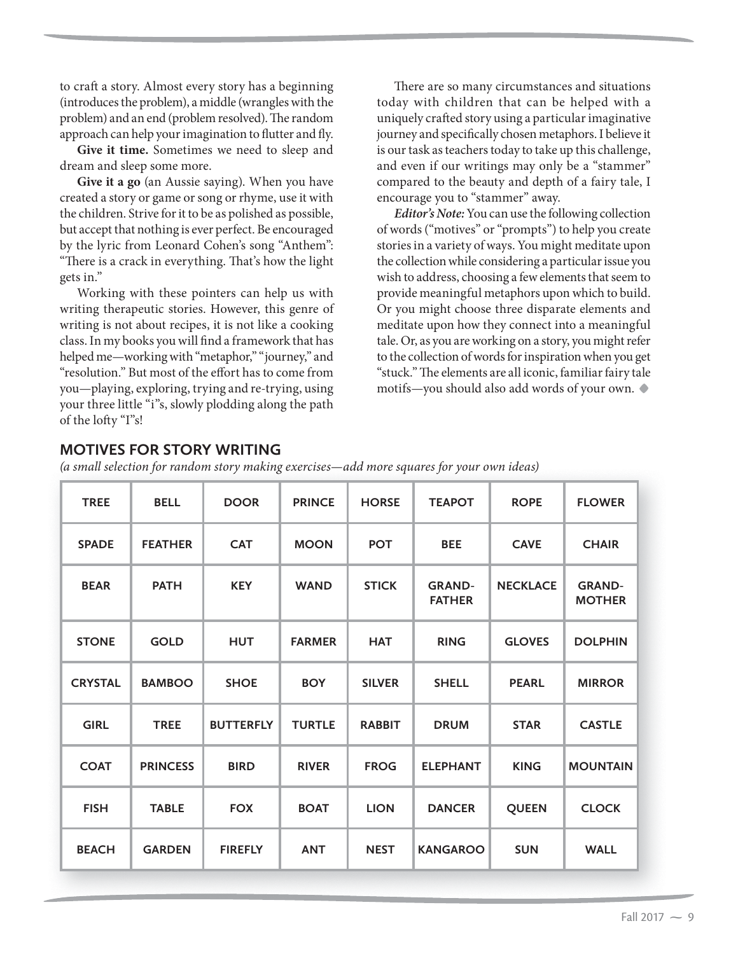to craft a story. Almost every story has a beginning (introduces the problem), a middle (wrangles with the problem) and an end (problem resolved). The random approach can help your imagination to flutter and fly.

**Give it time.** Sometimes we need to sleep and dream and sleep some more.

**Give it a go** (an Aussie saying). When you have created a story or game or song or rhyme, use it with the children. Strive for it to be as polished as possible, but accept that nothing is ever perfect. Be encouraged by the lyric from Leonard Cohen's song "Anthem": "There is a crack in everything. That's how the light gets in."

Working with these pointers can help us with writing therapeutic stories. However, this genre of writing is not about recipes, it is not like a cooking class. In my books you will find a framework that has helped me—working with "metaphor," "journey," and "resolution." But most of the effort has to come from you—playing, exploring, trying and re-trying, using your three little "i"s, slowly plodding along the path of the lofty "I"s!

There are so many circumstances and situations today with children that can be helped with a uniquely crafted story using a particular imaginative journey and specifically chosen metaphors. I believe it is our task as teachers today to take up this challenge, and even if our writings may only be a "stammer" compared to the beauty and depth of a fairy tale, I encourage you to "stammer" away.

**Editor's Note:** You can use the following collection of words ("motives" or "prompts") to help you create stories in a variety of ways. You might meditate upon the collection while considering a particular issue you wish to address, choosing a few elements that seem to provide meaningful metaphors upon which to build. Or you might choose three disparate elements and meditate upon how they connect into a meaningful tale. Or, as you are working on a story, you might refer to the collection of words for inspiration when you get "stuck." The elements are all iconic, familiar fairy tale motifs—you should also add words of your own.**•**

(a small selection for random story making exercises—add more squares for your own ideas)

| <b>TREE</b>    | <b>BELL</b>     | <b>DOOR</b>      | <b>PRINCE</b> | <b>HORSE</b>  | <b>TEAPOT</b>                  | <b>ROPE</b>     | <b>FLOWER</b>                  |
|----------------|-----------------|------------------|---------------|---------------|--------------------------------|-----------------|--------------------------------|
| <b>SPADE</b>   | <b>FEATHER</b>  | <b>CAT</b>       | <b>MOON</b>   | <b>POT</b>    | <b>BEE</b>                     | <b>CAVE</b>     | <b>CHAIR</b>                   |
| <b>BEAR</b>    | <b>PATH</b>     | <b>KEY</b>       | <b>WAND</b>   | <b>STICK</b>  | <b>GRAND-</b><br><b>FATHER</b> | <b>NECKLACE</b> | <b>GRAND-</b><br><b>MOTHER</b> |
| <b>STONE</b>   | <b>GOLD</b>     | <b>HUT</b>       | <b>FARMER</b> | <b>HAT</b>    | <b>RING</b>                    | <b>GLOVES</b>   | <b>DOLPHIN</b>                 |
| <b>CRYSTAL</b> | <b>BAMBOO</b>   | <b>SHOE</b>      | <b>BOY</b>    | <b>SILVER</b> | <b>SHELL</b>                   | <b>PEARL</b>    | <b>MIRROR</b>                  |
| <b>GIRL</b>    | <b>TREE</b>     | <b>BUTTERFLY</b> | <b>TURTLE</b> | <b>RABBIT</b> | <b>DRUM</b>                    | <b>STAR</b>     | <b>CASTLE</b>                  |
| <b>COAT</b>    | <b>PRINCESS</b> | <b>BIRD</b>      | <b>RIVER</b>  | <b>FROG</b>   | <b>ELEPHANT</b>                | <b>KING</b>     | <b>MOUNTAIN</b>                |
| <b>FISH</b>    | <b>TABLE</b>    | <b>FOX</b>       | <b>BOAT</b>   | <b>LION</b>   | <b>DANCER</b>                  | <b>QUEEN</b>    | <b>CLOCK</b>                   |
| <b>BEACH</b>   | <b>GARDEN</b>   | <b>FIREFLY</b>   | <b>ANT</b>    | <b>NEST</b>   | <b>KANGAROO</b>                | <b>SUN</b>      | <b>WALL</b>                    |